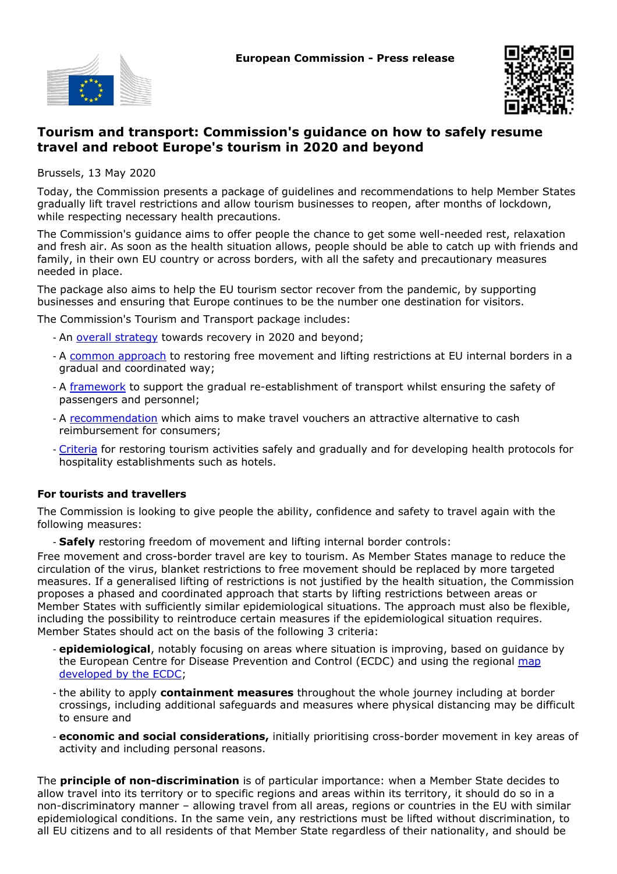



# **Tourism and transport: Commission's guidance on how to safely resume travel and reboot Europe's tourism in 2020 and beyond**

Brussels, 13 May 2020

Today, the Commission presents a package of guidelines and recommendations to help Member States gradually lift travel restrictions and allow tourism businesses to reopen, after months of lockdown, while respecting necessary health precautions.

The Commission's guidance aims to offer people the chance to get some well-needed rest, relaxation and fresh air. As soon as the health situation allows, people should be able to catch up with friends and family, in their own EU country or across borders, with all the safety and precautionary measures needed in place.

The package also aims to help the EU tourism sector recover from the pandemic, by supporting businesses and ensuring that Europe continues to be the number one destination for visitors.

The Commission's Tourism and Transport package includes:

- An [overall strategy](https://ec.europa.eu/info/files/tourism-and-transport-2020-and-beyond_en) towards recovery in 2020 and beyond;
- A [common approach](https://ec.europa.eu/info/files/covid-19-towards-phased-and-coordinated-approach-lifting-internal-border-controls-and-restoring-freedom-movement_en) to restoring free movement and lifting restrictions at EU internal borders in a gradual and coordinated way;
- A [framework](https://ec.europa.eu/info/files/covid-19-guidelines-progressive-restoration-transport-services-and-connectivity_en) to support the gradual re-establishment of transport whilst ensuring the safety of passengers and personnel;
- A [recommendation](https://ec.europa.eu/info/files/covid-19-recommendation-vouchers-offered-passengers-and-travellers-alternative-reimbursement-cancelled-package-travel-and-transport-services_en) which aims to make travel vouchers an attractive alternative to cash reimbursement for consumers;
- [Criteria](https://ec.europa.eu/info/files/covid-19-eu-guidance-progressive-resuming-tourism-services-and-health-protocols-hospitality-establishments_en) for restoring tourism activities safely and gradually and for developing health protocols for hospitality establishments such as hotels.

#### **For tourists and travellers**

The Commission is looking to give people the ability, confidence and safety to travel again with the following measures:

- **Safely** restoring freedom of movement and lifting internal border controls:

Free movement and cross-border travel are key to tourism. As Member States manage to reduce the circulation of the virus, blanket restrictions to free movement should be replaced by more targeted measures. If a generalised lifting of restrictions is not justified by the health situation, the Commission proposes a phased and coordinated approach that starts by lifting restrictions between areas or Member States with sufficiently similar epidemiological situations. The approach must also be flexible, including the possibility to reintroduce certain measures if the epidemiological situation requires. Member States should act on the basis of the following 3 criteria:

- **epidemiological**, notably focusing on areas where situation is improving, based on guidance by the European Centre for Disease Prevention and Control (ECDC) and using the regional [map](https://qap.ecdc.europa.eu/public/extensions/COVID-19/COVID-19.html) [developed by the ECDC](https://qap.ecdc.europa.eu/public/extensions/COVID-19/COVID-19.html);
- the ability to apply **containment measures** throughout the whole journey including at border crossings, including additional safeguards and measures where physical distancing may be difficult to ensure and
- **economic and social considerations,** initially prioritising cross-border movement in key areas of activity and including personal reasons.

The **principle of non-discrimination** is of particular importance: when a Member State decides to allow travel into its territory or to specific regions and areas within its territory, it should do so in a non-discriminatory manner – allowing travel from all areas, regions or countries in the EU with similar epidemiological conditions. In the same vein, any restrictions must be lifted without discrimination, to all EU citizens and to all residents of that Member State regardless of their nationality, and should be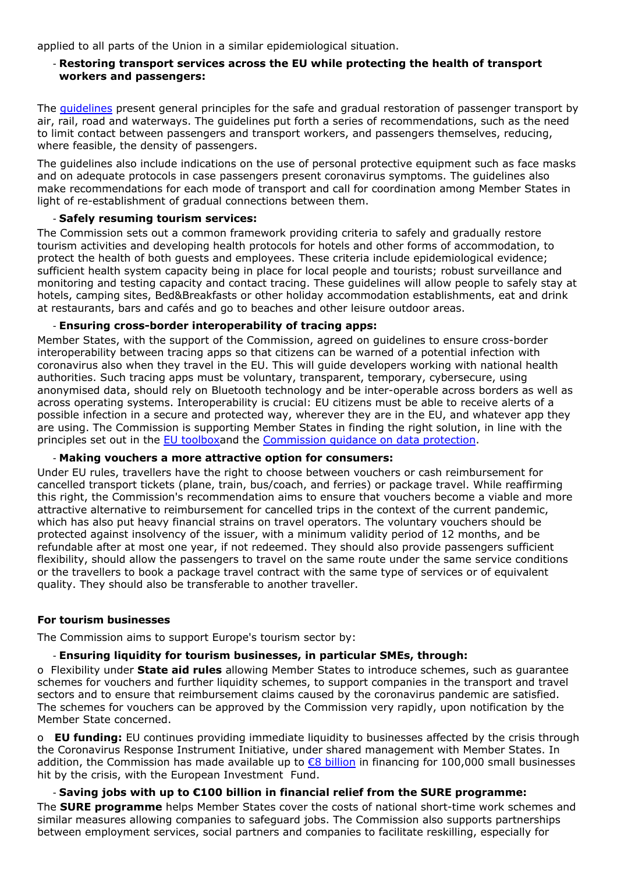applied to all parts of the Union in a similar epidemiological situation.

### **Restoring transport services across the EU while protecting the health of transport workers and passengers:**

The [guidelines](https://ec.europa.eu/info/files/covid-19-guidelines-progressive-restoration-transport-services-and-connectivity_en) present general principles for the safe and gradual restoration of passenger transport by air, rail, road and waterways. The guidelines put forth a series of recommendations, such as the need to limit contact between passengers and transport workers, and passengers themselves, reducing, where feasible, the density of passengers.

The guidelines also include indications on the use of personal protective equipment such as face masks and on adequate protocols in case passengers present coronavirus symptoms. The guidelines also make recommendations for each mode of transport and call for coordination among Member States in light of re-establishment of gradual connections between them.

#### - **Safely resuming tourism services:**

The Commission sets out a common framework providing criteria to safely and gradually restore tourism activities and developing health protocols for hotels and other forms of accommodation, to protect the health of both guests and employees. These criteria include epidemiological evidence; sufficient health system capacity being in place for local people and tourists; robust surveillance and monitoring and testing capacity and contact tracing. These guidelines will allow people to safely stay at hotels, camping sites, Bed&Breakfasts or other holiday accommodation establishments, eat and drink at restaurants, bars and cafés and go to beaches and other leisure outdoor areas.

### - **Ensuring cross-border interoperability of tracing apps:**

Member States, with the support of the Commission, agreed on guidelines to ensure cross-border interoperability between tracing apps so that citizens can be warned of a potential infection with coronavirus also when they travel in the EU. This will guide developers working with national health authorities. Such tracing apps must be voluntary, transparent, temporary, cybersecure, using anonymised data, should rely on Bluetooth technology and be inter-operable across borders as well as across operating systems. Interoperability is crucial: EU citizens must be able to receive alerts of a possible infection in a secure and protected way, wherever they are in the EU, and whatever app they are using. The Commission is supporting Member States in finding the right solution, in line with the principles set out in the [EU toolboxa](https://ec.europa.eu/commission/presscorner/detail/en/ip_20_670)nd the [Commission guidance on data protection.](https://eur-lex.europa.eu/legal-content/EN/TXT/?uri=CELEX%3A52020XC0417%2808%29)

#### - **Making vouchers a more attractive option for consumers:**

Under EU rules, travellers have the right to choose between vouchers or cash reimbursement for cancelled transport tickets (plane, train, bus/coach, and ferries) or package travel. While reaffirming this right, the Commission's recommendation aims to ensure that vouchers become a viable and more attractive alternative to reimbursement for cancelled trips in the context of the current pandemic, which has also put heavy financial strains on travel operators. The voluntary vouchers should be protected against insolvency of the issuer, with a minimum validity period of 12 months, and be refundable after at most one year, if not redeemed. They should also provide passengers sufficient flexibility, should allow the passengers to travel on the same route under the same service conditions or the travellers to book a package travel contract with the same type of services or of equivalent quality. They should also be transferable to another traveller.

## **For tourism businesses**

The Commission aims to support Europe's tourism sector by:

# - **Ensuring liquidity for tourism businesses, in particular SMEs, through:**

o Flexibility under **State aid rules** allowing Member States to introduce schemes, such as guarantee schemes for vouchers and further liquidity schemes, to support companies in the transport and travel sectors and to ensure that reimbursement claims caused by the coronavirus pandemic are satisfied. The schemes for vouchers can be approved by the Commission very rapidly, upon notification by the Member State concerned.

o **EU funding:** EU continues providing immediate liquidity to businesses affected by the crisis through the Coronavirus Response Instrument Initiative, under shared management with Member States. In addition, the Commission has made available up to €8 billion in financing for 100,000 small businesses hit by the crisis, with the European Investment Fund.

# - **Saving jobs with up to €100 billion in financial relief from the SURE programme:**

The **SURE programme** helps Member States cover the costs of national short-time work schemes and similar measures allowing companies to safeguard jobs. The Commission also supports partnerships between employment services, social partners and companies to facilitate reskilling, especially for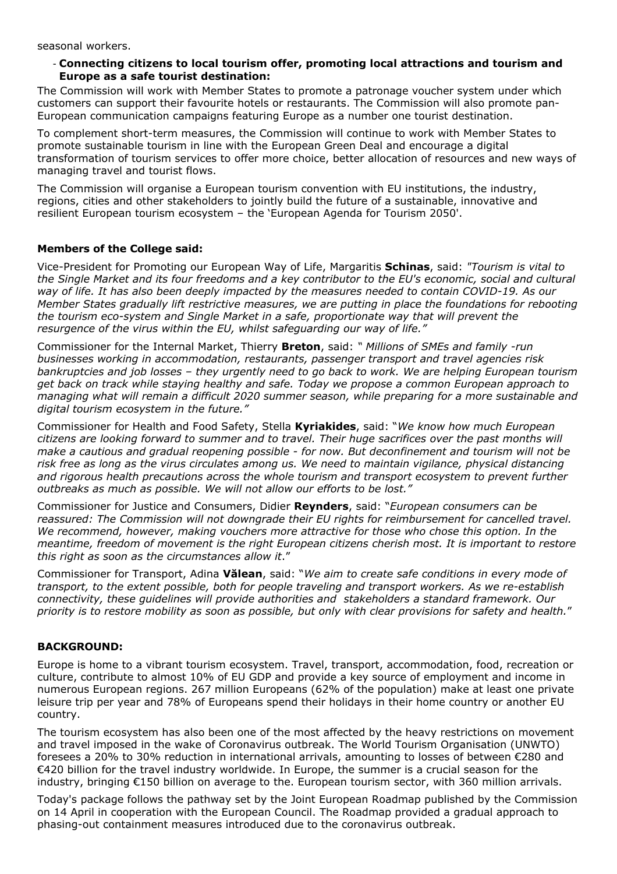seasonal workers.

### **Connecting citizens to local tourism offer, promoting local attractions and tourism and** - **Europe as a safe tourist destination:**

The Commission will work with Member States to promote a patronage voucher system under which customers can support their favourite hotels or restaurants. The Commission will also promote pan-European communication campaigns featuring Europe as a number one tourist destination.

To complement short-term measures, the Commission will continue to work with Member States to promote sustainable tourism in line with the European Green Deal and encourage a digital transformation of tourism services to offer more choice, better allocation of resources and new ways of managing travel and tourist flows.

The Commission will organise a European tourism convention with EU institutions, the industry, regions, cities and other stakeholders to jointly build the future of a sustainable, innovative and resilient European tourism ecosystem – the 'European Agenda for Tourism 2050'.

### **Members of the College said:**

Vice-President for Promoting our European Way of Life, Margaritis **Schinas**, said: *"Tourism is vital to the Single Market and its four freedoms and a key contributor to the EU's economic, social and cultural way of life. It has also been deeply impacted by the measures needed to contain COVID-19. As our Member States gradually lift restrictive measures, we are putting in place the foundations for rebooting the tourism eco-system and Single Market in a safe, proportionate way that will prevent the resurgence of the virus within the EU, whilst safeguarding our way of life."*

Commissioner for the Internal Market, Thierry **Breton**, said: *" Millions of SMEs and family -run businesses working in accommodation, restaurants, passenger transport and travel agencies risk bankruptcies and job losses – they urgently need to go back to work. We are helping European tourism get back on track while staying healthy and safe. Today we propose a common European approach to managing what will remain a difficult 2020 summer season, while preparing for a more sustainable and digital tourism ecosystem in the future."*

Commissioner for Health and Food Safety, Stella **Kyriakides**, said: "*We know how much European citizens are looking forward to summer and to travel. Their huge sacrifices over the past months will make a cautious and gradual reopening possible - for now. But deconfinement and tourism will not be risk free as long as the virus circulates among us. We need to maintain vigilance, physical distancing and rigorous health precautions across the whole tourism and transport ecosystem to prevent further outbreaks as much as possible. We will not allow our efforts to be lost."*

Commissioner for Justice and Consumers, Didier **Reynders**, said: "*European consumers can be reassured: The Commission will not downgrade their EU rights for reimbursement for cancelled travel. We recommend, however, making vouchers more attractive for those who chose this option. In the meantime, freedom of movement is the right European citizens cherish most. It is important to restore this right as soon as the circumstances allow it*."

Commissioner for Transport, Adina **Vălean**, said: "*We aim to create safe conditions in every mode of transport, to the extent possible, both for people traveling and transport workers. As we re-establish connectivity, these guidelines will provide authorities and stakeholders a standard framework. Our priority is to restore mobility as soon as possible, but only with clear provisions for safety and health.*"

## **BACKGROUND:**

Europe is home to a vibrant tourism ecosystem. Travel, transport, accommodation, food, recreation or culture, contribute to almost 10% of EU GDP and provide a key source of employment and income in numerous European regions. 267 million Europeans (62% of the population) make at least one private leisure trip per year and 78% of Europeans spend their holidays in their home country or another EU country.

The tourism ecosystem has also been one of the most affected by the heavy restrictions on movement and travel imposed in the wake of Coronavirus outbreak. The World Tourism Organisation (UNWTO) foresees a 20% to 30% reduction in international arrivals, amounting to losses of between €280 and €420 billion for the travel industry worldwide. In Europe, the summer is a crucial season for the industry, bringing €150 billion on average to the. European tourism sector, with 360 million arrivals.

Today's package follows the pathway set by the Joint European Roadmap published by the Commission on 14 April in cooperation with the European Council. The Roadmap provided a gradual approach to phasing-out containment measures introduced due to the coronavirus outbreak.